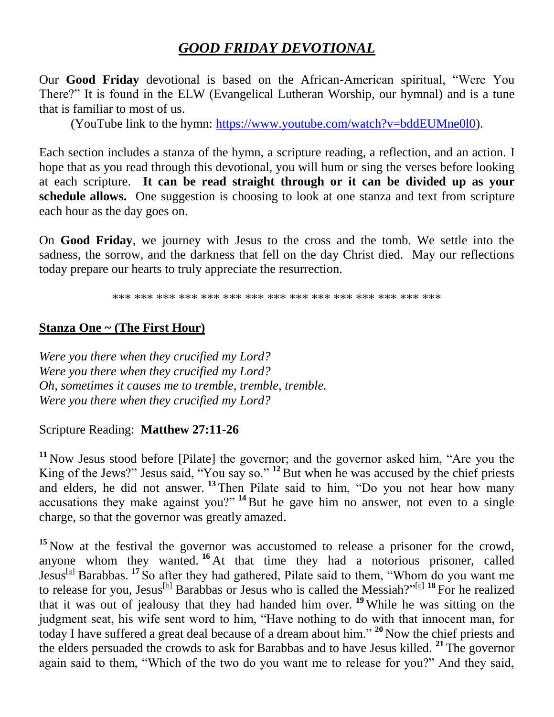# *GOOD FRIDAY DEVOTIONAL*

Our **Good Friday** devotional is based on the African-American spiritual, "Were You There?" It is found in the ELW (Evangelical Lutheran Worship, our hymnal) and is a tune that is familiar to most of us.

(YouTube link to the hymn: [https://www.youtube.com/watch?v=bddEUMne0l0\)](https://www.youtube.com/watch?v=bddEUMne0l0).

Each section includes a stanza of the hymn, a scripture reading, a reflection, and an action. I hope that as you read through this devotional, you will hum or sing the verses before looking at each scripture. **It can be read straight through or it can be divided up as your schedule allows.** One suggestion is choosing to look at one stanza and text from scripture each hour as the day goes on.

On **Good Friday**, we journey with Jesus to the cross and the tomb. We settle into the sadness, the sorrow, and the darkness that fell on the day Christ died. May our reflections today prepare our hearts to truly appreciate the resurrection.

\*\*\* \*\*\* \*\*\* \*\*\* \*\*\* \*\*\* \*\*\* \*\*\* \*\*\* \*\*\* \*\*\* \*\*\* \*\*\* \*\*\* \*\*\*

## **Stanza One ~ (The First Hour)**

*Were you there when they crucified my Lord? Were you there when they crucified my Lord? Oh, sometimes it causes me to tremble, tremble, tremble. Were you there when they crucified my Lord?* 

#### Scripture Reading: **Matthew 27:11-26**

**<sup>11</sup>** Now Jesus stood before [Pilate] the governor; and the governor asked him, "Are you the King of the Jews?" Jesus said, "You say so." **<sup>12</sup>**But when he was accused by the chief priests and elders, he did not answer. **<sup>13</sup>** Then Pilate said to him, "Do you not hear how many accusations they make against you?" **<sup>14</sup>**But he gave him no answer, not even to a single charge, so that the governor was greatly amazed.

<sup>15</sup> Now at the festival the governor was accustomed to release a prisoner for the crowd, anyone whom they wanted.<sup>16</sup> At that time they had a notorious prisoner, called Jesus [\[a\]](https://www.biblegateway.com/passage/?search=Matthew+27%3A11-26&version=NRSV#fen-NRSV-24143a) Barabbas. **<sup>17</sup>** So after they had gathered, Pilate said to them, "Whom do you want me to release for you, Jesus [\[b\]](https://www.biblegateway.com/passage/?search=Matthew+27%3A11-26&version=NRSV#fen-NRSV-24144b) Barabbas or Jesus who is called the Messiah?" [\[c\]](https://www.biblegateway.com/passage/?search=Matthew+27%3A11-26&version=NRSV#fen-NRSV-24144c) **<sup>18</sup>** For he realized that it was out of jealousy that they had handed him over. **<sup>19</sup>** While he was sitting on the judgment seat, his wife sent word to him, "Have nothing to do with that innocent man, for today I have suffered a great deal because of a dream about him." **<sup>20</sup>** Now the chief priests and the elders persuaded the crowds to ask for Barabbas and to have Jesus killed. **<sup>21</sup>** The governor again said to them, "Which of the two do you want me to release for you?" And they said,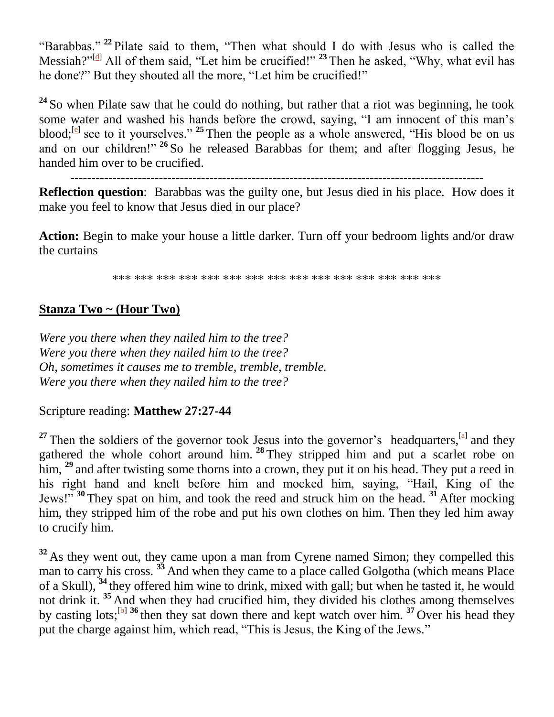"Barabbas." **<sup>22</sup>** Pilate said to them, "Then what should I do with Jesus who is called the Messiah?"<sup>[\[d\]](https://www.biblegateway.com/passage/?search=Matthew+27%3A11-26&version=NRSV#fen-NRSV-24149d)</sup> All of them said, "Let him be crucified!" <sup>23</sup> Then he asked, "Why, what evil has he done?" But they shouted all the more, "Let him be crucified!"

<sup>24</sup> So when Pilate saw that he could do nothing, but rather that a riot was beginning, he took some water and washed his hands before the crowd, saying, "I am innocent of this man's blood;<sup>[\[e\]](https://www.biblegateway.com/passage/?search=Matthew+27%3A11-26&version=NRSV#fen-NRSV-24151e)</sup> see to it yourselves."<sup>25</sup> Then the people as a whole answered, "His blood be on us and on our children!" **<sup>26</sup>** So he released Barabbas for them; and after flogging Jesus, he handed him over to be crucified.

**--------------------------------------------------------------------------------------------------**

**Reflection question**: Barabbas was the guilty one, but Jesus died in his place. How does it make you feel to know that Jesus died in our place?

**Action:** Begin to make your house a little darker. Turn off your bedroom lights and/or draw the curtains

\*\*\* \*\*\* \*\*\* \*\*\* \*\*\* \*\*\* \*\*\* \*\*\* \*\*\* \*\*\* \*\*\* \*\*\* \*\*\* \*\*\* \*\*\*

#### **Stanza Two ~ (Hour Two)**

*Were you there when they nailed him to the tree? Were you there when they nailed him to the tree? Oh, sometimes it causes me to tremble, tremble, tremble. Were you there when they nailed him to the tree?* 

Scripture reading: **Matthew 27:27-44**

<sup>27</sup> Then the soldiers of the governor took Jesus into the governor's headquarters,<sup>[\[a\]](https://www.biblegateway.com/passage/?search=Matthew+27%3A27-44&version=NRSV#fen-NRSV-24154a)</sup> and they gathered the whole cohort around him. **<sup>28</sup>** They stripped him and put a scarlet robe on him, <sup>29</sup> and after twisting some thorns into a crown, they put it on his head. They put a reed in his right hand and knelt before him and mocked him, saying, "Hail, King of the Jews!" **<sup>30</sup>** They spat on him, and took the reed and struck him on the head. **<sup>31</sup>** After mocking him, they stripped him of the robe and put his own clothes on him. Then they led him away to crucify him.

<sup>32</sup> As they went out, they came upon a man from Cyrene named Simon; they compelled this man to carry his cross.<sup>33</sup> And when they came to a place called Golgotha (which means Place of a Skull), **<sup>34</sup>** they offered him wine to drink, mixed with gall; but when he tasted it, he would not drink it. **<sup>35</sup>** And when they had crucified him, they divided his clothes among themselves by casting lots; [\[b\]](https://www.biblegateway.com/passage/?search=Matthew+27%3A27-44&version=NRSV#fen-NRSV-24162b) **<sup>36</sup>** then they sat down there and kept watch over him. **<sup>37</sup>** Over his head they put the charge against him, which read, "This is Jesus, the King of the Jews."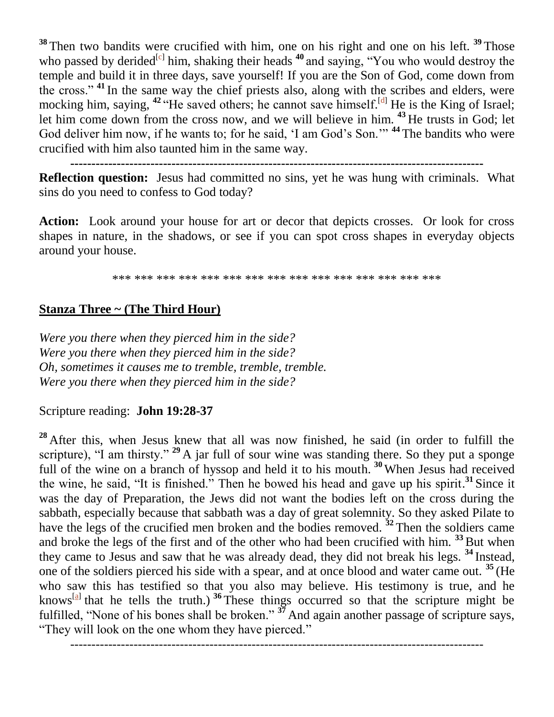**<sup>38</sup>** Then two bandits were crucified with him, one on his right and one on his left. **<sup>39</sup>** Those who passed by derided<sup>[\[c\]](https://www.biblegateway.com/passage/?search=Matthew+27%3A27-44&version=NRSV#fen-NRSV-24166c)</sup> him, shaking their heads <sup>40</sup> and saying, "You who would destroy the temple and build it in three days, save yourself! If you are the Son of God, come down from the cross." **<sup>41</sup>** In the same way the chief priests also, along with the scribes and elders, were mocking him, saying, <sup>42</sup> "He saved others; he cannot save himself.<sup>[\[d\]](https://www.biblegateway.com/passage/?search=Matthew+27%3A27-44&version=NRSV#fen-NRSV-24169d)</sup> He is the King of Israel; let him come down from the cross now, and we will believe in him. **<sup>43</sup>** He trusts in God; let God deliver him now, if he wants to; for he said, 'I am God's Son."<sup>44</sup> The bandits who were crucified with him also taunted him in the same way.

**--------------------------------------------------------------------------------------------------**

**Reflection question:** Jesus had committed no sins, yet he was hung with criminals. What sins do you need to confess to God today?

**Action:** Look around your house for art or decor that depicts crosses. Or look for cross shapes in nature, in the shadows, or see if you can spot cross shapes in everyday objects around your house.

\*\*\* \*\*\* \*\*\* \*\*\* \*\*\* \*\*\* \*\*\* \*\*\* \*\*\* \*\*\* \*\*\* \*\*\* \*\*\* \*\*\* \*\*\*

#### **Stanza Three ~ (The Third Hour)**

*Were you there when they pierced him in the side? Were you there when they pierced him in the side? Oh, sometimes it causes me to tremble, tremble, tremble. Were you there when they pierced him in the side?*

Scripture reading: **John 19:28-37**

**<sup>28</sup>** After this, when Jesus knew that all was now finished, he said (in order to fulfill the scripture), "I am thirsty." <sup>29</sup> A jar full of sour wine was standing there. So they put a sponge full of the wine on a branch of hyssop and held it to his mouth. **<sup>30</sup>** When Jesus had received the wine, he said, "It is finished." Then he bowed his head and gave up his spirit. **<sup>31</sup>** Since it was the day of Preparation, the Jews did not want the bodies left on the cross during the sabbath, especially because that sabbath was a day of great solemnity. So they asked Pilate to have the legs of the crucified men broken and the bodies removed. **<sup>32</sup>** Then the soldiers came and broke the legs of the first and of the other who had been crucified with him. <sup>33</sup>But when they came to Jesus and saw that he was already dead, they did not break his legs. **<sup>34</sup>** Instead, one of the soldiers pierced his side with a spear, and at once blood and water came out. **<sup>35</sup>** (He who saw this has testified so that you also may believe. His testimony is true, and he knows<sup>[\[a\]](https://www.biblegateway.com/passage/?search=John+19%3A28-37&version=NRSV#fen-NRSV-26850a)</sup> that he tells the truth.)  $36$  These things occurred so that the scripture might be fulfilled, "None of his bones shall be broken." **<sup>37</sup>** And again another passage of scripture says, "They will look on the one whom they have pierced."

--------------------------------------------------------------------------------------------------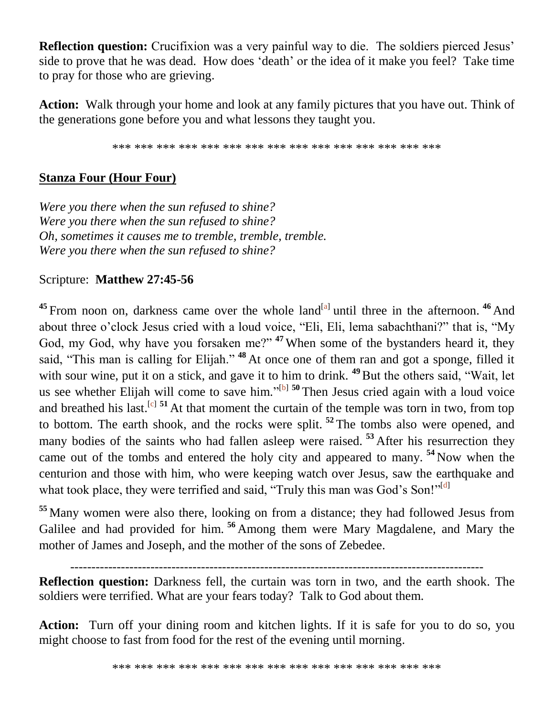**Reflection question:** Crucifixion was a very painful way to die. The soldiers pierced Jesus' side to prove that he was dead. How does 'death' or the idea of it make you feel? Take time to pray for those who are grieving.

**Action:** Walk through your home and look at any family pictures that you have out. Think of the generations gone before you and what lessons they taught you.

\*\*\* \*\*\* \*\*\* \*\*\* \*\*\* \*\*\* \*\*\* \*\*\* \*\*\* \*\*\* \*\*\* \*\*\* \*\*\* \*\*\* \*\*\*

### **Stanza Four (Hour Four)**

*Were you there when the sun refused to shine? Were you there when the sun refused to shine? Oh, sometimes it causes me to tremble, tremble, tremble. Were you there when the sun refused to shine?*

#### Scripture: **Matthew 27:45-56**

<sup>45</sup> From noon on, darkness came over the whole land<sup>[\[a\]](https://www.biblegateway.com/passage/?search=Matthew+27%3A45-56&version=NRSV#fen-NRSV-24172a)</sup> until three in the afternoon. <sup>46</sup> And about three o'clock Jesus cried with a loud voice, "Eli, Eli, lema sabachthani?" that is, "My God, my God, why have you forsaken me?" **<sup>47</sup>** When some of the bystanders heard it, they said, "This man is calling for Elijah." **<sup>48</sup>** At once one of them ran and got a sponge, filled it with sour wine, put it on a stick, and gave it to him to drink. <sup>49</sup> But the others said, "Wait, let us see whether Elijah will come to save him."<sup>[\[b\]](https://www.biblegateway.com/passage/?search=Matthew+27%3A45-56&version=NRSV#fen-NRSV-24176b) 50</sup> Then Jesus cried again with a loud voice and breathed his last.<sup>[\[c\]](https://www.biblegateway.com/passage/?search=Matthew+27%3A45-56&version=NRSV#fen-NRSV-24177c)</sup> 51 At that moment the curtain of the temple was torn in two, from top to bottom. The earth shook, and the rocks were split. **<sup>52</sup>** The tombs also were opened, and many bodies of the saints who had fallen asleep were raised.<sup>53</sup> After his resurrection they came out of the tombs and entered the holy city and appeared to many. **<sup>54</sup>** Now when the centurion and those with him, who were keeping watch over Jesus, saw the earthquake and what took place, they were terrified and said, "Truly this man was God's Son!"<sup>[\[d\]](https://www.biblegateway.com/passage/?search=Matthew+27%3A45-56&version=NRSV#fen-NRSV-24181d)</sup>

**<sup>55</sup>** Many women were also there, looking on from a distance; they had followed Jesus from Galilee and had provided for him. **<sup>56</sup>** Among them were Mary Magdalene, and Mary the mother of James and Joseph, and the mother of the sons of Zebedee.

-------------------------------------------------------------------------------------------------- **Reflection question:** Darkness fell, the curtain was torn in two, and the earth shook. The soldiers were terrified. What are your fears today? Talk to God about them.

Action: Turn off your dining room and kitchen lights. If it is safe for you to do so, you might choose to fast from food for the rest of the evening until morning.